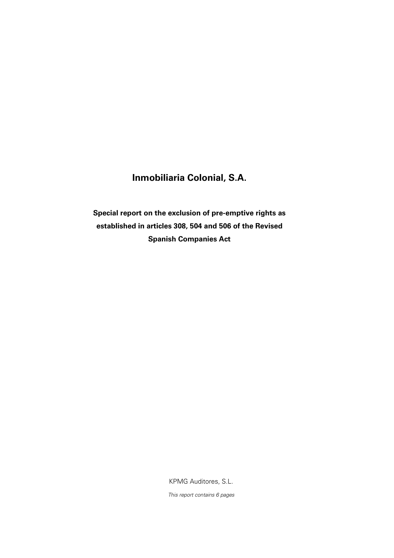## **Inmobiliaria Colonial, S.A.**

**Special report on the exclusion of pre-emptive rights as established in articles 308, 504 and 506 of the Revised Spanish Companies Act**

KPMG Auditores, S.L.

This report contains 6 pages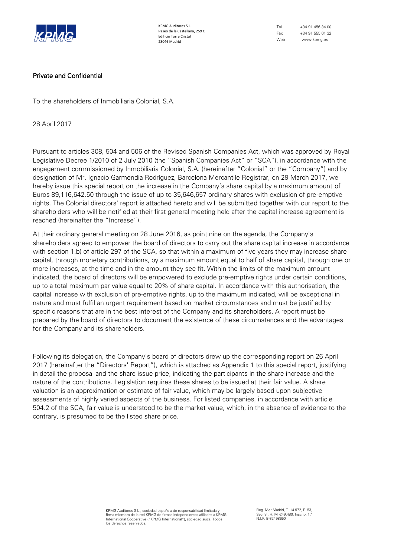

KPMG Auditores S.L. Paseo de la Castellana, 259 C Edificio Torre Cristal 28046 Madrid

Tel +34 91 456 34 00 Fax +34 91 555 01 32 Web www.kpmg.es

## Private and Confidential

To the shareholders of Inmobiliaria Colonial, S.A.

28 April 2017

Pursuant to articles 308, 504 and 506 of the Revised Spanish Companies Act, which was approved by Royal Legislative Decree 1/2010 of 2 July 2010 (the "Spanish Companies Act" or "SCA"), in accordance with the engagement commissioned by Inmobiliaria Colonial, S.A. (hereinafter "Colonial" or the "Company") and by designation of Mr. Ignacio Garmendia Rodríguez, Barcelona Mercantile Registrar, on 29 March 2017, we hereby issue this special report on the increase in the Company's share capital by a maximum amount of Euros 89,116,642.50 through the issue of up to 35,646,657 ordinary shares with exclusion of pre-emptive rights. The Colonial directors' report is attached hereto and will be submitted together with our report to the shareholders who will be notified at their first general meeting held after the capital increase agreement is reached (hereinafter the "Increase").

At their ordinary general meeting on 28 June 2016, as point nine on the agenda, the Company's shareholders agreed to empower the board of directors to carry out the share capital increase in accordance with section 1.b) of article 297 of the SCA, so that within a maximum of five years they may increase share capital, through monetary contributions, by a maximum amount equal to half of share capital, through one or more increases, at the time and in the amount they see fit. Within the limits of the maximum amount indicated, the board of directors will be empowered to exclude pre-emptive rights under certain conditions, up to a total maximum par value equal to 20% of share capital. In accordance with this authorisation, the capital increase with exclusion of pre-emptive rights, up to the maximum indicated, will be exceptional in nature and must fulfil an urgent requirement based on market circumstances and must be justified by specific reasons that are in the best interest of the Company and its shareholders. A report must be prepared by the board of directors to document the existence of these circumstances and the advantages for the Company and its shareholders.

Following its delegation, the Company's board of directors drew up the corresponding report on 26 April 2017 (hereinafter the "Directors' Report"), which is attached as Appendix 1 to this special report, justifying in detail the proposal and the share issue price, indicating the participants in the share increase and the nature of the contributions. Legislation requires these shares to be issued at their fair value. A share valuation is an approximation or estimate of fair value, which may be largely based upon subjective assessments of highly varied aspects of the business. For listed companies, in accordance with article 504.2 of the SCA, fair value is understood to be the market value, which, in the absence of evidence to the contrary, is presumed to be the listed share price.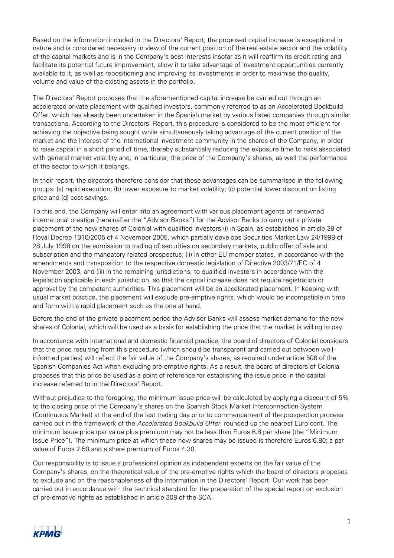Based on the information included in the Directors' Report, the proposed capital increase is exceptional in nature and is considered necessary in view of the current position of the real estate sector and the volatility of the capital markets and is in the Company's best interests insofar as it will reaffirm its credit rating and facilitate its potential future improvement, allow it to take advantage of investment opportunities currently available to it, as well as repositioning and improving its investments in order to maximise the quality, volume and value of the existing assets in the portfolio.

The Directors' Report proposes that the aforementioned capital increase be carried out through an accelerated private placement with qualified investors, commonly referred to as an Accelerated Bookbuild Offer, which has already been undertaken in the Spanish market by various listed companies through similar transactions. According to the Directors' Report, this procedure is considered to be the most efficient for achieving the objective being sought while simultaneously taking advantage of the current position of the market and the interest of the international investment community in the shares of the Company, in order to raise capital in a short period of time, thereby substantially reducing the exposure time to risks associated with general market volatility and, in particular, the price of the Company's shares, as well the performance of the sector to which it belongs.

In their report, the directors therefore consider that these advantages can be summarised in the following groups: (a) rapid execution; (b) lower exposure to market volatility; (c) potential lower discount on listing price and (d) cost savings.

To this end, the Company will enter into an agreement with various placement agents of renowned international prestige (hereinafter the "Advisor Banks") for the Advisor Banks to carry out a private placement of the new shares of Colonial with qualified investors (i) in Spain, as established in article 39 of Royal Decree 1310/2005 of 4 November 2005, which partially develops Securities Market Law 24/1998 of 28 July 1998 on the admission to trading of securities on secondary markets, public offer of sale and subscription and the mandatory related prospectus; (ii) in other EU member states, in accordance with the amendments and transposition to the respective domestic legislation of Directive 2003/71/EC of 4 November 2003, and (iii) in the remaining jurisdictions, to qualified investors in accordance with the legislation applicable in each jurisdiction, so that the capital increase does not require registration or approval by the competent authorities. This placement will be an accelerated placement. In keeping with usual market practice, the placement will exclude pre-emptive rights, which would be incompatible in time and form with a rapid placement such as the one at hand.

Before the end of the private placement period the Advisor Banks will assess market demand for the new shares of Colonial, which will be used as a basis for establishing the price that the market is willing to pay.

In accordance with international and domestic financial practice, the board of directors of Colonial considers that the price resulting from this procedure (which should be transparent and carried out between wellinformed parties) will reflect the fair value of the Company's shares, as required under article 506 of the Spanish Companies Act when excluding pre-emptive rights. As a result, the board of directors of Colonial proposes that this price be used as a point of reference for establishing the issue price in the capital increase referred to in the Directors' Report.

Without prejudice to the foregoing, the minimum issue price will be calculated by applying a discount of 5% to the closing price of the Company's shares on the Spanish Stock Market Interconnection System (Continuous Market) at the end of the last trading day prior to commencement of the prospection process carried out in the framework of the *Accelerated Bookbuild Offer*, rounded up the nearest Euro cent. The minimum issue price (par value plus premium) may not be less than Euros 6.8 per share (the "Minimum Issue Price"). The minimum price at which these new shares may be issued is therefore Euros 6.80; a par value of Euros 2.50 and a share premium of Euros 4.30.

Our responsibility is to issue a professional opinion as independent experts on the fair value of the Company's shares, on the theoretical value of the pre-emptive rights which the board of directors proposes to exclude and on the reasonableness of the information in the Directors' Report. Our work has been carried out in accordance with the technical standard for the preparation of the special report on exclusion of pre-emptive rights as established in article 308 of the SCA.

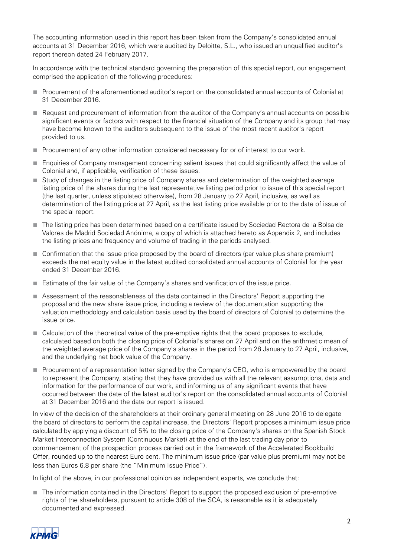The accounting information used in this report has been taken from the Company's consolidated annual accounts at 31 December 2016, which were audited by Deloitte, S.L., who issued an unqualified auditor's report thereon dated 24 February 2017.

In accordance with the technical standard governing the preparation of this special report, our engagement comprised the application of the following procedures:

- Procurement of the aforementioned auditor's report on the consolidated annual accounts of Colonial at 31 December 2016.
- Request and procurement of information from the auditor of the Company's annual accounts on possible significant events or factors with respect to the financial situation of the Company and its group that may have become known to the auditors subsequent to the issue of the most recent auditor's report provided to us.
- Procurement of any other information considered necessary for or of interest to our work.
- Enquiries of Company management concerning salient issues that could significantly affect the value of Colonial and, if applicable, verification of these issues.
- Study of changes in the listing price of Company shares and determination of the weighted average listing price of the shares during the last representative listing period prior to issue of this special report (the last quarter, unless stipulated otherwise), from 28 January to 27 April, inclusive, as well as determination of the listing price at 27 April, as the last listing price available prior to the date of issue of the special report.
- The listing price has been determined based on a certificate issued by Sociedad Rectora de la Bolsa de Valores de Madrid Sociedad Anónima, a copy of which is attached hereto as Appendix 2, and includes the listing prices and frequency and volume of trading in the periods analysed.
- Confirmation that the issue price proposed by the board of directors (par value plus share premium) exceeds the net equity value in the latest audited consolidated annual accounts of Colonial for the year ended 31 December 2016.
- Estimate of the fair value of the Company's shares and verification of the issue price.
- Assessment of the reasonableness of the data contained in the Directors' Report supporting the proposal and the new share issue price, including a review of the documentation supporting the valuation methodology and calculation basis used by the board of directors of Colonial to determine the issue price.
- Calculation of the theoretical value of the pre-emptive rights that the board proposes to exclude, calculated based on both the closing price of Colonial's shares on 27 April and on the arithmetic mean of the weighted average price of the Company's shares in the period from 28 January to 27 April, inclusive, and the underlying net book value of the Company.
- Procurement of a representation letter signed by the Company's CEO, who is empowered by the board to represent the Company, stating that they have provided us with all the relevant assumptions, data and information for the performance of our work, and informing us of any significant events that have occurred between the date of the latest auditor's report on the consolidated annual accounts of Colonial at 31 December 2016 and the date our report is issued.

In view of the decision of the shareholders at their ordinary general meeting on 28 June 2016 to delegate the board of directors to perform the capital increase, the Directors' Report proposes a minimum issue price calculated by applying a discount of 5% to the closing price of the Company's shares on the Spanish Stock Market Interconnection System (Continuous Market) at the end of the last trading day prior to commencement of the prospection process carried out in the framework of the Accelerated Bookbuild Offer, rounded up to the nearest Euro cent. The minimum issue price (par value plus premium) may not be less than Euros 6.8 per share (the "Minimum Issue Price").

In light of the above, in our professional opinion as independent experts, we conclude that:

■ The information contained in the Directors' Report to support the proposed exclusion of pre-emptive rights of the shareholders, pursuant to article 308 of the SCA, is reasonable as it is adequately documented and expressed.

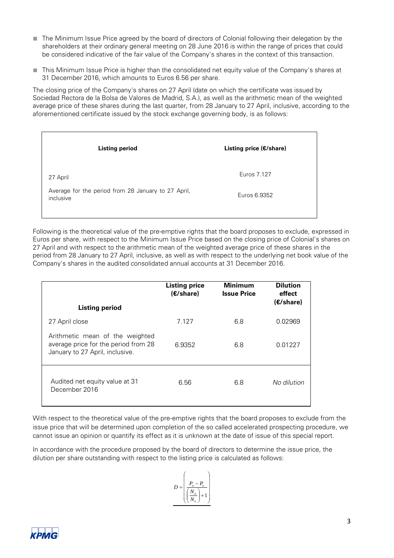- The Minimum Issue Price agreed by the board of directors of Colonial following their delegation by the shareholders at their ordinary general meeting on 28 June 2016 is within the range of prices that could be considered indicative of the fair value of the Company's shares in the context of this transaction.
- This Minimum Issue Price is higher than the consolidated net equity value of the Company's shares at 31 December 2016, which amounts to Euros 6.56 per share.

The closing price of the Company's shares on 27 April (date on which the certificate was issued by Sociedad Rectora de la Bolsa de Valores de Madrid, S.A.), as well as the arithmetic mean of the weighted average price of these shares during the last quarter, from 28 January to 27 April, inclusive, according to the aforementioned certificate issued by the stock exchange governing body, is as follows:

| Listing period                                                   | Listing price $(E/\text{share})$ |  |
|------------------------------------------------------------------|----------------------------------|--|
| 27 April                                                         | Euros 7.127                      |  |
| Average for the period from 28 January to 27 April,<br>inclusive | Euros 6.9352                     |  |

Following is the theoretical value of the pre-emptive rights that the board proposes to exclude, expressed in Euros per share, with respect to the Minimum Issue Price based on the closing price of Colonial's shares on 27 April and with respect to the arithmetic mean of the weighted average price of these shares in the period from 28 January to 27 April, inclusive, as well as with respect to the underlying net book value of the Company's shares in the audited consolidated annual accounts at 31 December 2016.

| <b>Listing period</b>                                                                                      | <b>Listing price</b><br>$(E/\text{share})$ | <b>Minimum</b><br><b>Issue Price</b> | <b>Dilution</b><br>effect<br>$(E/\text{share})$ |
|------------------------------------------------------------------------------------------------------------|--------------------------------------------|--------------------------------------|-------------------------------------------------|
| 27 April close                                                                                             | 7.127                                      | 6.8                                  | 0.02969                                         |
| Arithmetic mean of the weighted<br>average price for the period from 28<br>January to 27 April, inclusive. | 6.9352                                     | 6.8                                  | 0.01227                                         |
| Audited net equity value at 31<br>December 2016                                                            | 6.56                                       | 6.8                                  | No dilution                                     |

With respect to the theoretical value of the pre-emptive rights that the board proposes to exclude from the issue price that will be determined upon completion of the so called accelerated prospecting procedure, we cannot issue an opinion or quantify its effect as it is unknown at the date of issue of this special report.

In accordance with the procedure proposed by the board of directors to determine the issue price, the dilution per share outstanding with respect to the listing price is calculated as follows: